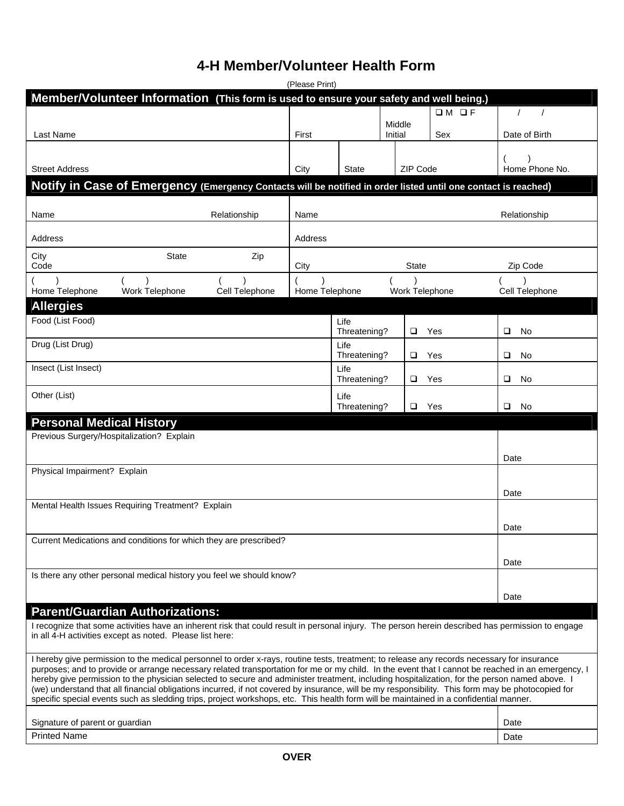## **4-H Member/Volunteer Health Form**

| (Please Print)                                                                                                 |                |                      |                   |                |                                       |  |
|----------------------------------------------------------------------------------------------------------------|----------------|----------------------|-------------------|----------------|---------------------------------------|--|
| Member/Volunteer Information (This form is used to ensure your safety and well being.)                         |                |                      |                   |                |                                       |  |
| Last Name                                                                                                      | First          |                      | Middle<br>Initial | $OM$ OF<br>Sex | $\prime$<br>$\prime$<br>Date of Birth |  |
|                                                                                                                |                |                      |                   |                |                                       |  |
| <b>Street Address</b>                                                                                          | City           | <b>State</b>         | ZIP Code          |                | Home Phone No.                        |  |
| Notify in Case of Emergency (Emergency Contacts will be notified in order listed until one contact is reached) |                |                      |                   |                |                                       |  |
| Relationship<br>Name                                                                                           | Name           |                      |                   |                | Relationship                          |  |
| Address                                                                                                        | Address        |                      |                   |                |                                       |  |
| <b>State</b><br>Zip<br>City<br>Code                                                                            | City           |                      | <b>State</b>      |                | Zip Code                              |  |
| Home Telephone<br>Work Telephone<br>Cell Telephone                                                             | Home Telephone |                      | Work Telephone    |                | Cell Telephone                        |  |
| <b>Allergies</b>                                                                                               |                |                      |                   |                |                                       |  |
| Food (List Food)                                                                                               |                | Life<br>Threatening? | $\Box$            | Yes            | □<br>No                               |  |
| Drug (List Drug)                                                                                               |                | Life<br>Threatening? | $\Box$            | Yes            | □<br>No                               |  |
| Insect (List Insect)                                                                                           |                | Life<br>Threatening? | □                 | Yes            | ❏<br>No                               |  |
| Other (List)                                                                                                   |                | Life<br>Threatening? | □                 | Yes            | □<br>No                               |  |
| <b>Personal Medical History</b>                                                                                |                |                      |                   |                |                                       |  |
| Previous Surgery/Hospitalization? Explain                                                                      |                |                      |                   |                |                                       |  |
|                                                                                                                |                |                      |                   |                | Date                                  |  |
| Physical Impairment? Explain                                                                                   |                |                      |                   |                |                                       |  |
|                                                                                                                |                |                      |                   |                | Date                                  |  |
| Mental Health Issues Requiring Treatment? Explain                                                              |                |                      |                   |                |                                       |  |
|                                                                                                                |                |                      |                   |                | Date                                  |  |
| Current Medications and conditions for which they are prescribed?                                              |                |                      |                   |                |                                       |  |
|                                                                                                                |                |                      |                   |                | Date                                  |  |
| Is there any other personal medical history you feel we should know?                                           |                |                      |                   |                |                                       |  |
|                                                                                                                |                |                      |                   |                | Date                                  |  |
| <b>Parent/Guardian Authorizations:</b>                                                                         |                |                      |                   |                |                                       |  |

I recognize that some activities have an inherent risk that could result in personal injury. The person herein described has permission to engage in all 4-H activities except as noted. Please list here:

I hereby give permission to the medical personnel to order x-rays, routine tests, treatment; to release any records necessary for insurance purposes; and to provide or arrange necessary related transportation for me or my child. In the event that I cannot be reached in an emergency, I hereby give permission to the physician selected to secure and administer treatment, including hospitalization, for the person named above. I (we) understand that all financial obligations incurred, if not covered by insurance, will be my responsibility. This form may be photocopied for specific special events such as sledding trips, project workshops, etc. This health form will be maintained in a confidential manner.

| Sianatu<br>parent<br>auardian<br>rrc<br>$\sim$ r<br>വ<br>ັບເ | Date |
|--------------------------------------------------------------|------|
| <b>Printed</b><br>Name                                       | Date |